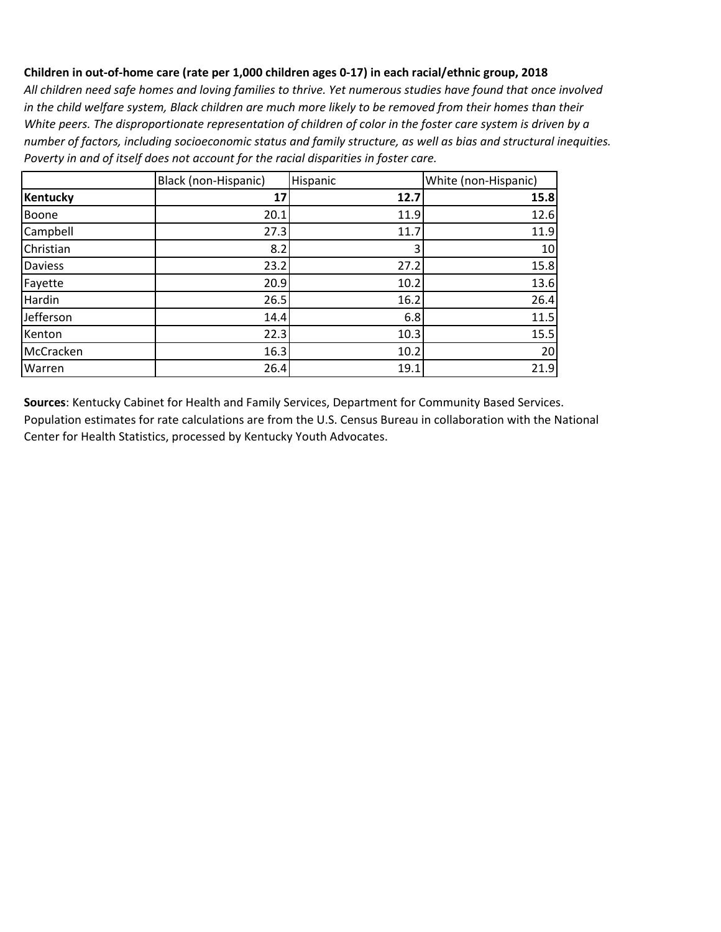*All children need safe homes and loving families to thrive. Yet numerous studies have found that once involved in the child welfare system, Black children are much more likely to be removed from their homes than their White peers. The disproportionate representation of children of color in the foster care system is driven by a number of factors, including socioeconomic status and family structure, as well as bias and structural inequities. Poverty in and of itself does not account for the racial disparities in foster care.*

|                 | Black (non-Hispanic) | Hispanic | White (non-Hispanic) |
|-----------------|----------------------|----------|----------------------|
| <b>Kentucky</b> | 17                   | 12.7     | 15.8                 |
| Boone           | 20.1                 | 11.9     | 12.6                 |
| Campbell        | 27.3                 | 11.7     | 11.9                 |
| Christian       | 8.2                  | 3        | 10                   |
| <b>Daviess</b>  | 23.2                 | 27.2     | 15.8                 |
| Fayette         | 20.9                 | 10.2     | 13.6                 |
| Hardin          | 26.5                 | 16.2     | 26.4                 |
| Jefferson       | 14.4                 | 6.8      | 11.5                 |
| Kenton          | 22.3                 | 10.3     | 15.5                 |
| McCracken       | 16.3                 | 10.2     | 20                   |
| Warren          | 26.4                 | 19.1     | 21.9                 |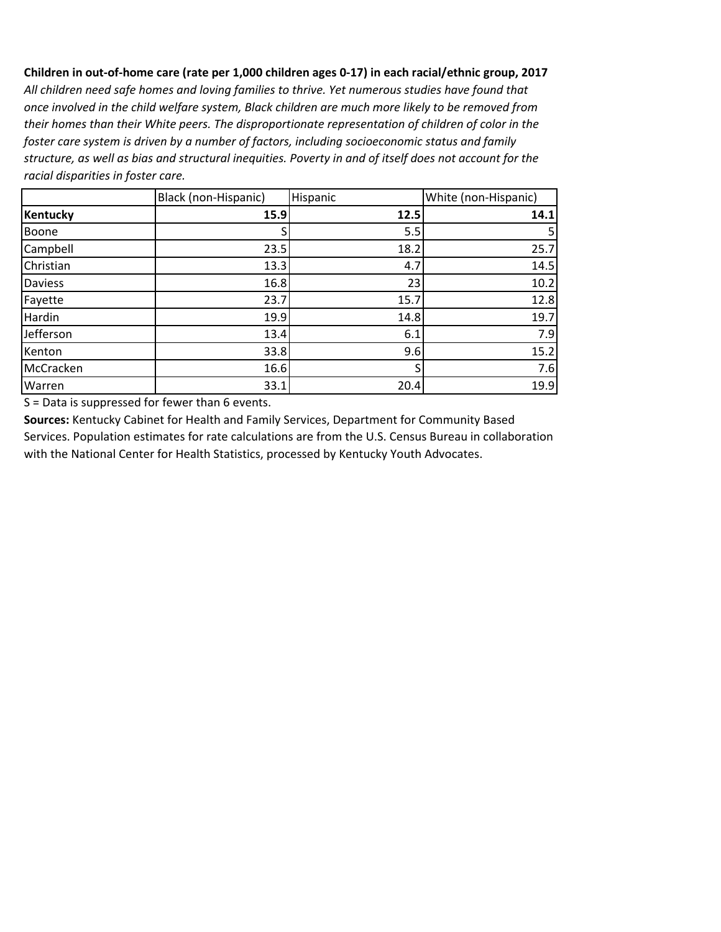*All children need safe homes and loving families to thrive. Yet numerous studies have found that once involved in the child welfare system, Black children are much more likely to be removed from their homes than their White peers. The disproportionate representation of children of color in the foster care system is driven by a number of factors, including socioeconomic status and family structure, as well as bias and structural inequities. Poverty in and of itself does not account for the racial disparities in foster care.*

|                | Black (non-Hispanic) | Hispanic | White (non-Hispanic) |
|----------------|----------------------|----------|----------------------|
| Kentucky       | 15.9                 | 12.5     | 14.1                 |
| Boone          | S                    | 5.5      |                      |
| Campbell       | 23.5                 | 18.2     | 25.7                 |
| Christian      | 13.3                 | 4.7      | 14.5                 |
| <b>Daviess</b> | 16.8                 | 23       | 10.2                 |
| Fayette        | 23.7                 | 15.7     | 12.8                 |
| Hardin         | 19.9                 | 14.8     | 19.7                 |
| Jefferson      | 13.4                 | 6.1      | 7.9                  |
| Kenton         | 33.8                 | 9.6      | 15.2                 |
| McCracken      | 16.6                 |          | 7.6                  |
| Warren         | 33.1                 | 20.4     | 19.9                 |

S = Data is suppressed for fewer than 6 events.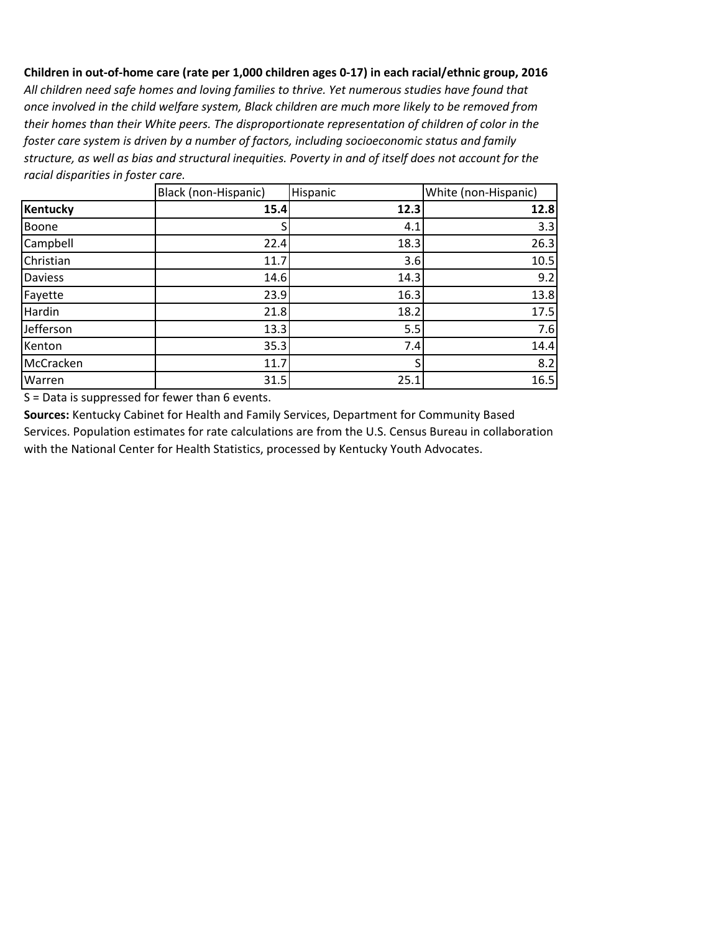*All children need safe homes and loving families to thrive. Yet numerous studies have found that once involved in the child welfare system, Black children are much more likely to be removed from their homes than their White peers. The disproportionate representation of children of color in the foster care system is driven by a number of factors, including socioeconomic status and family structure, as well as bias and structural inequities. Poverty in and of itself does not account for the racial disparities in foster care.*

|           | Black (non-Hispanic) | Hispanic | White (non-Hispanic) |
|-----------|----------------------|----------|----------------------|
| Kentucky  | 15.4                 | 12.3     | 12.8                 |
| Boone     |                      | 4.1      | 3.3                  |
| Campbell  | 22.4                 | 18.3     | 26.3                 |
| Christian | 11.7                 | 3.6      | 10.5                 |
| Daviess   | 14.6                 | 14.3     | 9.2                  |
| Fayette   | 23.9                 | 16.3     | 13.8                 |
| Hardin    | 21.8                 | 18.2     | 17.5                 |
| Jefferson | 13.3                 | 5.5      | 7.6                  |
| Kenton    | 35.3                 | 7.4      | 14.4                 |
| McCracken | 11.7                 |          | 8.2                  |
| Warren    | 31.5                 | 25.1     | 16.5                 |

S = Data is suppressed for fewer than 6 events.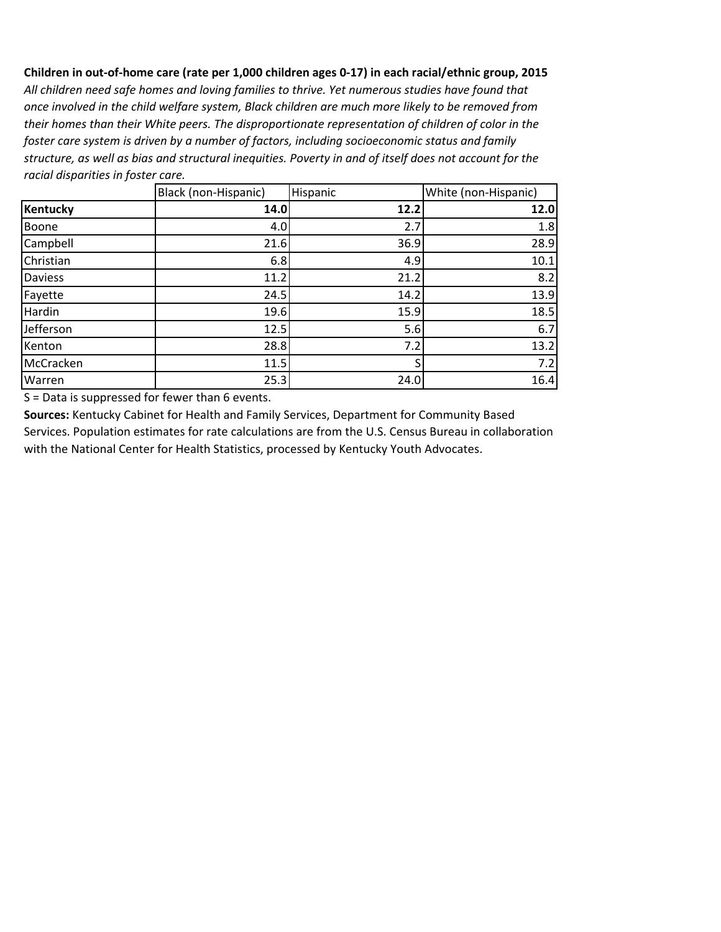*All children need safe homes and loving families to thrive. Yet numerous studies have found that once involved in the child welfare system, Black children are much more likely to be removed from their homes than their White peers. The disproportionate representation of children of color in the foster care system is driven by a number of factors, including socioeconomic status and family structure, as well as bias and structural inequities. Poverty in and of itself does not account for the racial disparities in foster care.*

|                | Black (non-Hispanic) | Hispanic | White (non-Hispanic) |
|----------------|----------------------|----------|----------------------|
| Kentucky       | 14.0                 | 12.2     | 12.0                 |
| Boone          | 4.0                  | 2.7      | 1.8                  |
| Campbell       | 21.6                 | 36.9     | 28.9                 |
| Christian      | 6.8                  | 4.9      | 10.1                 |
| <b>Daviess</b> | 11.2                 | 21.2     | 8.2                  |
| Fayette        | 24.5                 | 14.2     | 13.9                 |
| Hardin         | 19.6                 | 15.9     | 18.5                 |
| Jefferson      | 12.5                 | 5.6      | 6.7                  |
| Kenton         | 28.8                 | 7.2      | 13.2                 |
| McCracken      | 11.5                 |          | 7.2                  |
| Warren         | 25.3                 | 24.0     | 16.4                 |

S = Data is suppressed for fewer than 6 events.